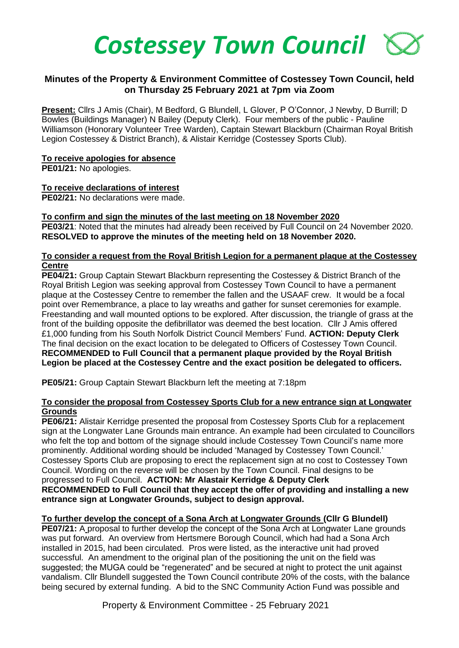

# **Minutes of the Property & Environment Committee of Costessey Town Council, held on Thursday 25 February 2021 at 7pm via Zoom**

**Present:** Cllrs J Amis (Chair), M Bedford, G Blundell, L Glover, P O'Connor, J Newby, D Burrill; D Bowles (Buildings Manager) N Bailey (Deputy Clerk). Four members of the public - Pauline Williamson (Honorary Volunteer Tree Warden), Captain Stewart Blackburn (Chairman Royal British Legion Costessey & District Branch), & Alistair Kerridge (Costessey Sports Club).

#### **To receive apologies for absence**

**PE01/21:** No apologies.

## **To receive declarations of interest**

**PE02/21:** No declarations were made.

## **To confirm and sign the minutes of the last meeting on 18 November 2020**

**PE03/21**: Noted that the minutes had already been received by Full Council on 24 November 2020. **RESOLVED to approve the minutes of the meeting held on 18 November 2020.**

#### **To consider a request from the Royal British Legion for a permanent plaque at the Costessey Centre**

**PE04/21:** Group Captain Stewart Blackburn representing the Costessey & District Branch of the Royal British Legion was seeking approval from Costessey Town Council to have a permanent plaque at the Costessey Centre to remember the fallen and the USAAF crew. It would be a focal point over Remembrance, a place to lay wreaths and gather for sunset ceremonies for example. Freestanding and wall mounted options to be explored. After discussion, the triangle of grass at the front of the building opposite the defibrillator was deemed the best location. Cllr J Amis offered £1,000 funding from his South Norfolk District Council Members' Fund. **ACTION: Deputy Clerk** The final decision on the exact location to be delegated to Officers of Costessey Town Council. **RECOMMENDED to Full Council that a permanent plaque provided by the Royal British Legion be placed at the Costessey Centre and the exact position be delegated to officers.**

**PE05/21:** Group Captain Stewart Blackburn left the meeting at 7:18pm

#### **To consider the proposal from Costessey Sports Club for a new entrance sign at Longwater Grounds**

**PE06/21:** Alistair Kerridge presented the proposal from Costessey Sports Club for a replacement sign at the Longwater Lane Grounds main entrance. An example had been circulated to Councillors who felt the top and bottom of the signage should include Costessey Town Council's name more prominently. Additional wording should be included 'Managed by Costessey Town Council.' Costessey Sports Club are proposing to erect the replacement sign at no cost to Costessey Town Council. Wording on the reverse will be chosen by the Town Council. Final designs to be progressed to Full Council. **ACTION: Mr Alastair Kerridge & Deputy Clerk RECOMMENDED to Full Council that they accept the offer of providing and installing a new entrance sign at Longwater Grounds, subject to design approval.** 

## **To further develop the concept of a Sona Arch at Longwater Grounds (Cllr G Blundell)**

**PE07/21:** A proposal to further develop the concept of the Sona Arch at Longwater Lane grounds was put forward. An overview from Hertsmere Borough Council, which had had a Sona Arch installed in 2015, had been circulated. Pros were listed, as the interactive unit had proved successful. An amendment to the original plan of the positioning the unit on the field was suggested; the MUGA could be "regenerated" and be secured at night to protect the unit against vandalism. Cllr Blundell suggested the Town Council contribute 20% of the costs, with the balance being secured by external funding. A bid to the SNC Community Action Fund was possible and

Property & Environment Committee - 25 February 2021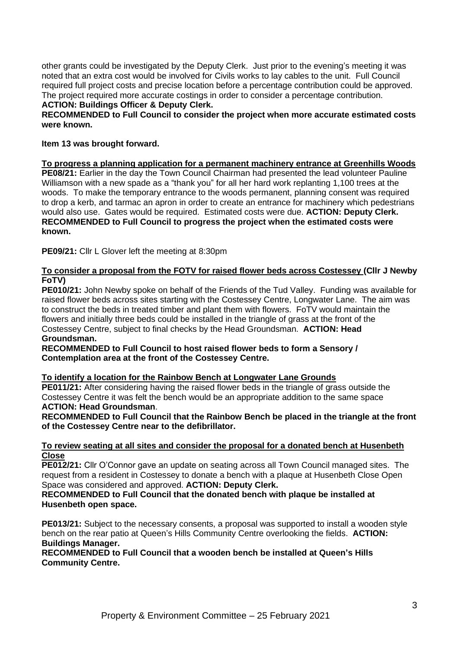other grants could be investigated by the Deputy Clerk. Just prior to the evening's meeting it was noted that an extra cost would be involved for Civils works to lay cables to the unit. Full Council required full project costs and precise location before a percentage contribution could be approved. The project required more accurate costings in order to consider a percentage contribution.

#### **ACTION: Buildings Officer & Deputy Clerk.**

## **RECOMMENDED to Full Council to consider the project when more accurate estimated costs were known.**

## **Item 13 was brought forward.**

## **To progress a planning application for a permanent machinery entrance at Greenhills Woods**

**PE08/21:** Earlier in the day the Town Council Chairman had presented the lead volunteer Pauline Williamson with a new spade as a "thank you" for all her hard work replanting 1,100 trees at the woods. To make the temporary entrance to the woods permanent, planning consent was required to drop a kerb, and tarmac an apron in order to create an entrance for machinery which pedestrians would also use. Gates would be required. Estimated costs were due. **ACTION: Deputy Clerk. RECOMMENDED to Full Council to progress the project when the estimated costs were known.** 

**PE09/21:** Cllr L Glover left the meeting at 8:30pm

## **To consider a proposal from the FOTV for raised flower beds across Costessey (Cllr J Newby FoTV)**

**PE010/21:** John Newby spoke on behalf of the Friends of the Tud Valley. Funding was available for raised flower beds across sites starting with the Costessey Centre, Longwater Lane. The aim was to construct the beds in treated timber and plant them with flowers. FoTV would maintain the flowers and initially three beds could be installed in the triangle of grass at the front of the Costessey Centre, subject to final checks by the Head Groundsman. **ACTION: Head Groundsman.**

## **RECOMMENDED to Full Council to host raised flower beds to form a Sensory / Contemplation area at the front of the Costessey Centre.**

# **To identify a location for the Rainbow Bench at Longwater Lane Grounds**

**PE011/21:** After considering having the raised flower beds in the triangle of grass outside the Costessey Centre it was felt the bench would be an appropriate addition to the same space **ACTION: Head Groundsman**.

**RECOMMENDED to Full Council that the Rainbow Bench be placed in the triangle at the front of the Costessey Centre near to the defibrillator.** 

## **To review seating at all sites and consider the proposal for a donated bench at Husenbeth Close**

**PE012/21:** Cllr O'Connor gave an update on seating across all Town Council managed sites. The request from a resident in Costessey to donate a bench with a plaque at Husenbeth Close Open Space was considered and approved. **ACTION: Deputy Clerk.**

## **RECOMMENDED to Full Council that the donated bench with plaque be installed at Husenbeth open space.**

**PE013/21:** Subject to the necessary consents, a proposal was supported to install a wooden style bench on the rear patio at Queen's Hills Community Centre overlooking the fields. **ACTION: Buildings Manager.** 

**RECOMMENDED to Full Council that a wooden bench be installed at Queen's Hills Community Centre.**